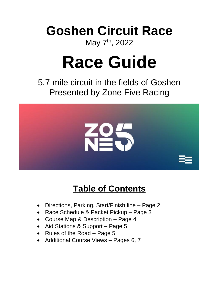## **Goshen Circuit Race** May 7<sup>th</sup>, 2022

# **Race Guide**

5.7 mile circuit in the fields of Goshen Presented by Zone Five Racing



## **Table of Contents**

- Directions, Parking, Start/Finish line Page 2
- Race Schedule & Packet Pickup Page 3
- Course Map & Description Page 4
- Aid Stations & Support Page 5
- Rules of the Road Page 5
- Additional Course Views Pages 6, 7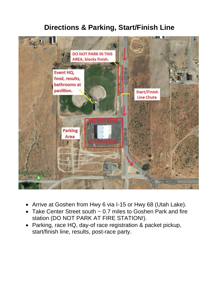#### **Directions & Parking, Start/Finish Line**



- Arrive at Goshen from Hwy 6 via I-15 or Hwy 68 (Utah Lake).
- Take Center Street south ~ 0.7 miles to Goshen Park and fire station (DO NOT PARK AT FIRE STATION!).
- Parking, race HQ, day-of race registration & packet pickup, start/finish line, results, post-race party.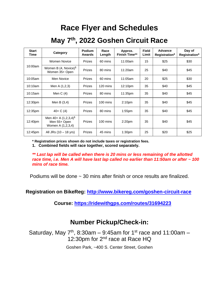### **Race Flyer and Schedules**

#### **May 7 th , 2022 Goshen Circuit Race**

| <b>Start</b><br>Time | Category                                                     | Podium<br>Awards | Race<br>Length | Approx.<br><b>Finish Time**</b> | <b>Field</b><br>Limit | Advance<br>Registration* | Day of<br>Registration* |
|----------------------|--------------------------------------------------------------|------------------|----------------|---------------------------------|-----------------------|--------------------------|-------------------------|
| 10:00am              | <b>Women Novice</b>                                          | <b>Prizes</b>    | 60 mins        | 11:00am                         | 15                    | \$25                     | \$30                    |
|                      | Women B $(4, Novice)1$<br>Women 35+ Open                     | Prizes           | 80 mins        | 11:20am                         | 25                    | \$40                     | \$45                    |
| 10:05am              | Men Novice                                                   | <b>Prizes</b>    | 60 mins        | 11:05am                         | 20                    | \$25                     | \$30                    |
| 10:10am              | Men A (1,2,3)                                                | Prizes           | 120 mins       | 12:10pm                         | 35                    | \$40                     | \$45                    |
| 10:15am              | Men C $(4)$                                                  | Prizes           | 80 mins        | 11:35pm                         | 35                    | \$40                     | \$45                    |
| 12:30pm              | Men B $(3,4)$                                                | Prizes           | 100 mins       | 2:10 <sub>pm</sub>              | 35                    | \$40                     | \$45                    |
| 12:35pm              | $40 + C(4)$                                                  | <b>Prizes</b>    | 80 mins        | $1:55$ pm                       | 35                    | \$40                     | \$45                    |
| 12:40pm              | Men 40+ A $(1,2,3,4)^1$<br>Men 55+ Open<br>Women A (1,2,3,4) | Prizes           | 100 mins       | 2:20 <sub>pm</sub>              | 35                    | \$40                     | \$45                    |
| 12:45pm              | All JRs (10 - 18 yrs)                                        | Prizes           | 45 mins        | 1:30 <sub>pm</sub>              | 25                    | \$20                     | \$25                    |

**\* Registration prices shown do not include taxes or registration fees.**

**1. Combined fields will race together, scored separately.** 

*\*\* Last lap will be called when there is 20 mins or less remaining of the allotted race time, i.e. Men A will have last lap called no earlier than 11:50am or after ~ 100 mins of race time.*

Podiums will be done  $\sim$  30 mins after finish or once results are finalized.

**Registration on BikeReg:<http://www.bikereg.com/goshen-circuit-race>**

**Course:<https://ridewithgps.com/routes/31694223>**

#### **Number Pickup/Check-in:**

Saturday, May  $7<sup>th</sup>$ , 8:30am – 9:45am for 1<sup>st</sup> race and 11:00am – 12:30pm for 2<sup>nd</sup> race at Race HQ

Goshen Park, ~400 S. Center Street, Goshen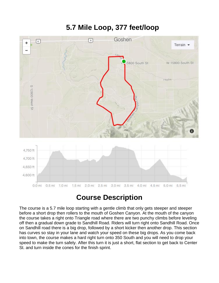#### **5.7 Mile Loop, 377 feet/loop**



#### **Course Description**

The course is a 5.7 mile loop starting with a gentle climb that only gets steeper and steeper before a short drop then rollers to the mouth of Goshen Canyon. At the mouth of the canyon the course takes a right onto Triangle road where there are two punchy climbs before leveling off then a gradual down grade to Sandhill Road. Riders will turn right onto Sandhill Road. Once on Sandhill road there is a big drop, followed by a short kicker then another drop. This section has curves so stay in your lane and watch your speed on these big drops. As you come back into town, the course makes a hard right turn onto 350 South and you will need to drop your speed to make the turn safely. After this turn it is just a short, flat section to get back to Center St. and turn inside the cones for the finish sprint.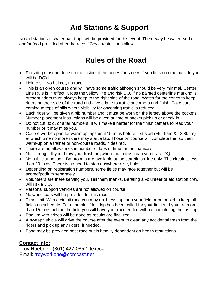#### **Aid Stations & Support**

No aid stations or water hand-ups will be provided for this event. There *may* be water, soda, and/or food provided after the race if Covid restrictions allow.

#### **Rules of the Road**

- Finishing must be done on the inside of the cones for safety. If you finish on the outside you will be DQ'd.
- Helmets No helmet, no race.
- This is an open course and will have some traffic although should be very minimal. Center Line Rule is in effect. Cross the yellow line and risk DQ. If no painted centerline marking is present riders must always keep to the right side of the road. Watch for the cones to keep riders on their side of the road and give a lane to traffic at corners and finish. Take care coming to tops of hills where visibility for oncoming traffic is reduced.
- Each rider will be given a bib number and it must be worn on the jersey above the pockets. Number placement instructions will be given at time of packet pick up or check-in.
- Do not cut, fold, or alter numbers. It will make it harder for the finish camera to read your number or it may miss you.
- Course will be open for warm-up laps until 15 mins before first start (~9:45am & 12:30pm) at which time no more riders may start a lap. Those on course will complete the lap then warm-up on a trainer or non-course roads, if desired.
- There are no allowances in number of laps or time for mechanicals.
- No littering If you throw your trash anywhere but a trash can you risk a DQ.
- No public urination Bathrooms are available at the start/finish line only. The circuit is less than 20 mins. There is no need to stop anywhere else, hold it.
- Depending on registration numbers, some fields may race together but will be scored/podium separately.
- Volunteers are there serving you. Tell them thanks. Berating a volunteer or aid station crew will risk a DQ.
- Personal support vehicles are not allowed on course.
- No wheel cars will be provided for this race.
- Time limit: With a circuit race you may do 1 less lap than your field or be pulled to keep all fields on schedule. For example, if last lap has been called for your field and you are more than 15 mins behind the field you will have your race ended without completing the last lap.
- Podium with prizes will be done as results are finalized.
- A sweep vehicle will drive the course after the event to clean any accidental trash from the riders and pick up any riders, if needed.
- Food may be provided post-race but is heavily dependent on health restrictions.

#### **Contact Info:**

Troy Huebner: (801) 427-0852, text/call. Email: [troyworkone@comcast.net](mailto:troyworkone@comcast.net)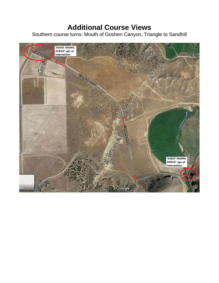#### **Additional Course Views**

Southern course turns: Mouth of Goshen Canyon, Triangle to Sandhill